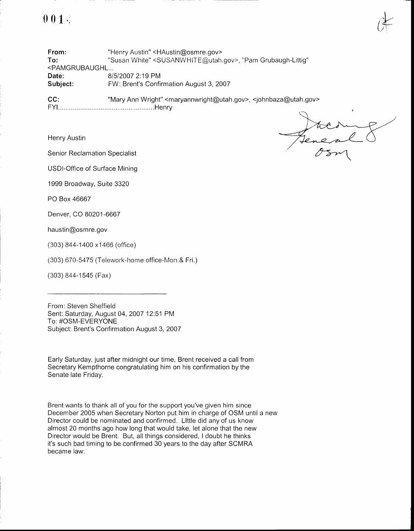

From: To: <PAMGRUBAUGHL... Date: Subject: "Henry Austin" <HAustin@osmre.gov> "Susan White" <SUSANWHITE@utah.gov>, "Pam Grubaugh-Littig" 81512007 2:19 PM FW: Brent's Confirmation August 3,2007

CC: "Mary Ann Wright" <maryannwright@utah.gov>, <johnbaza@utah.gov> FYl.. ..Henry

Henry Austin

Senior Reclamation Specialist

USDI-Office of Surface Mining

1999 Broadway, Suite 3320

PO Box 46667

Denver, CO 80201-6667

haustin@osmre.gov

(303) 844-1400 x1466 (office)

(303) 670-5475 (Telework-home office-Mon.& Fri.)

(303) 844-1545 (Fax)

From: Steven Sheffield Sent: Saturday, August 04,2007 12.51 PM To: #OSM-EVERYONE Subject: Brent's Confirmation August 3, 2007

Early Saturday, just after midnight our time, Brent received a call from Secretary Kempthorne congratulating him on his confirmation by the Senate late Friday.

Brent wants to thank all of you for the support you've given him since December 2005 when Secretary Norton put him in charge of OSM until a new Director could be nominated and confirmed. Llttle did any of us know almost 20 months ago how long that would take, let alone that the new Director would be Brent. But, all things considered, I doubt he thinks it's such bad timing to be confirmed 30 years to the day after SCMRA became law.

Jene a